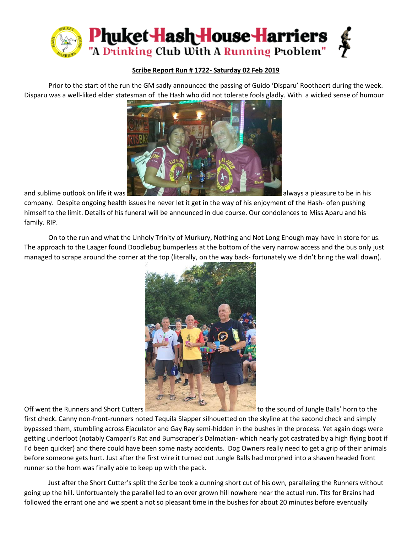

## **Scribe Report Run # 1722- Saturday 02 Feb 2019**

Prior to the start of the run the GM sadly announced the passing of Guido 'Disparu' Roothaert during the week. Disparu was a well-liked elder statesman of the Hash who did not tolerate fools gladly. With a wicked sense of humour



company. Despite ongoing health issues he never let it get in the way of his enjoyment of the Hash- ofen pushing himself to the limit. Details of his funeral will be announced in due course. Our condolences to Miss Aparu and his family. RIP.

On to the run and what the Unholy Trinity of Murkury, Nothing and Not Long Enough may have in store for us. The approach to the Laager found Doodlebug bumperless at the bottom of the very narrow access and the bus only just managed to scrape around the corner at the top (literally, on the way back- fortunately we didn't bring the wall down).



Off went the Runners and Short Cutters to the sound of Jungle Balls' horn to the

first check. Canny non-front-runners noted Tequila Slapper silhouetted on the skyline at the second check and simply bypassed them, stumbling across Ejaculator and Gay Ray semi-hidden in the bushes in the process. Yet again dogs were getting underfoot (notably Campari's Rat and Bumscraper's Dalmatian- which nearly got castrated by a high flying boot if I'd been quicker) and there could have been some nasty accidents. Dog Owners really need to get a grip of their animals before someone gets hurt. Just after the first wire it turned out Jungle Balls had morphed into a shaven headed front runner so the horn was finally able to keep up with the pack.

Just after the Short Cutter's split the Scribe took a cunning short cut of his own, paralleling the Runners without going up the hill. Unfortuantely the parallel led to an over grown hill nowhere near the actual run. Tits for Brains had followed the errant one and we spent a not so pleasant time in the bushes for about 20 minutes before eventually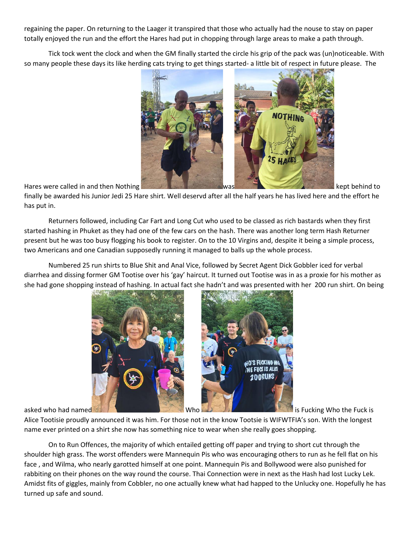regaining the paper. On returning to the Laager it transpired that those who actually had the nouse to stay on paper totally enjoyed the run and the effort the Hares had put in chopping through large areas to make a path through.

Tick tock went the clock and when the GM finally started the circle his grip of the pack was (un)noticeable. With so many people these days its like herding cats trying to get things started- a little bit of respect in future please. The



finally be awarded his Junior Jedi 25 Hare shirt. Well deservd after all the half years he has lived here and the effort he has put in.

Returners followed, including Car Fart and Long Cut who used to be classed as rich bastards when they first started hashing in Phuket as they had one of the few cars on the hash. There was another long term Hash Returner present but he was too busy flogging his book to register. On to the 10 Virgins and, despite it being a simple process, two Americans and one Canadian supposedly running it managed to balls up the whole process.

Numbered 25 run shirts to Blue Shit and Anal Vice, followed by Secret Agent Dick Gobbler iced for verbal diarrhea and dissing former GM Tootise over his 'gay' haircut. It turned out Tootise was in as a proxie for his mother as she had gone shopping instead of hashing. In actual fact she hadn't and was presented with her 200 run shirt. On being



Alice Tootisie proudly announced it was him. For those not in the know Tootsie is WIFWTFIA's son. With the longest name ever printed on a shirt she now has something nice to wear when she really goes shopping.

On to Run Offences, the majority of which entailed getting off paper and trying to short cut through the shoulder high grass. The worst offenders were Mannequin Pis who was encouraging others to run as he fell flat on his face , and Wilma, who nearly garotted himself at one point. Mannequin Pis and Bollywood were also punished for rabbiting on their phones on the way round the course. Thai Connection were in next as the Hash had lost Lucky Lek. Amidst fits of giggles, mainly from Cobbler, no one actually knew what had happed to the Unlucky one. Hopefully he has turned up safe and sound.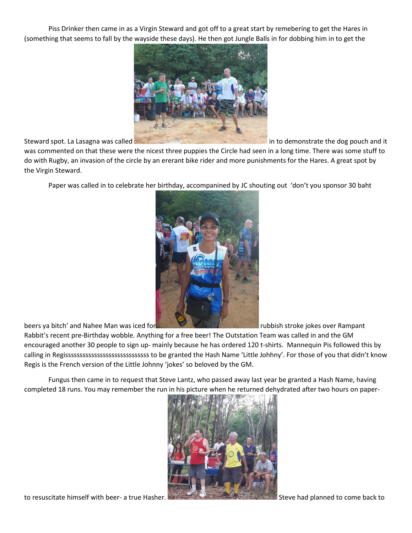Piss Drinker then came in as a Virgin Steward and got off to a great start by remebering to get the Hares in (something that seems to fall by the wayside these days). He then got Jungle Balls in for dobbing him in to get the



Steward spot. La Lasagna was called in to demonstrate the dog pouch and it

was commented on that these were the nicest three puppies the Circle had seen in a long time. There was some stuff to do with Rugby, an invasion of the circle by an ererant bike rider and more punishments for the Hares. A great spot by the Virgin Steward.

Paper was called in to celebrate her birthday, accompanined by JC shouting out 'don't you sponsor 30 baht



beers ya bitch' and Nahee Man was iced for rubbish stroke jokes over Rampant

Rabbit's recent pre-Birthday wobble. Anything for a free beer! The Outstation Team was called in and the GM encouraged another 30 people to sign up- mainly because he has ordered 120 t-shirts. Mannequin Pis followed this by calling in Regisssssssssssssssssssssssssssss to be granted the Hash Name 'Little Johhny'. For those of you that didn't know Regis is the French version of the Little Johnny 'jokes' so beloved by the GM.

Fungus then came in to request that Steve Lantz, who passed away last year be granted a Hash Name, having completed 18 runs. You may remember the run in his picture when he returned dehydrated after two hours on paper-